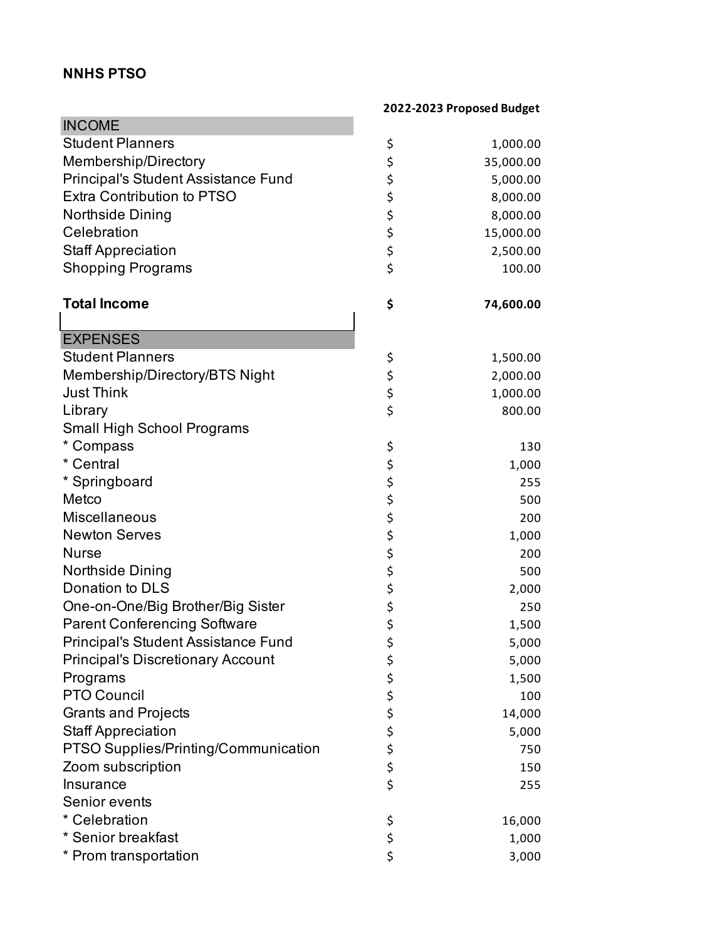## **NNHS PTSO**

| <b>INCOME</b>                              |          |           |
|--------------------------------------------|----------|-----------|
| <b>Student Planners</b>                    | \$       | 1,000.00  |
| Membership/Directory                       |          | 35,000.00 |
| <b>Principal's Student Assistance Fund</b> | \$<br>\$ | 5,000.00  |
| <b>Extra Contribution to PTSO</b>          |          | 8,000.00  |
| <b>Northside Dining</b>                    |          | 8,000.00  |
| Celebration                                |          | 15,000.00 |
| <b>Staff Appreciation</b>                  | \$\$\$\$ | 2,500.00  |
| <b>Shopping Programs</b>                   | \$       | 100.00    |
| <b>Total Income</b>                        | \$       | 74,600.00 |
|                                            |          |           |
| <b>EXPENSES</b>                            |          |           |
| <b>Student Planners</b>                    | \$       | 1,500.00  |
| Membership/Directory/BTS Night             |          | 2,000.00  |
| <b>Just Think</b>                          | \$<br>\$ | 1,000.00  |
| Library                                    | \$       | 800.00    |
| Small High School Programs                 |          |           |
| * Compass                                  | \$       | 130       |
| * Central                                  |          | 1,000     |
| * Springboard                              | ややみ さんか  | 255       |
| Metco                                      |          | 500       |
| <b>Miscellaneous</b>                       |          | 200       |
| <b>Newton Serves</b>                       |          | 1,000     |
| <b>Nurse</b>                               |          | 200       |
| Northside Dining                           |          | 500       |
| Donation to DLS                            | \$       | 2,000     |
| One-on-One/Big Brother/Big Sister          |          | 250       |
| <b>Parent Conferencing Software</b>        | \$\$\$   | 1,500     |
| Principal's Student Assistance Fund        |          | 5,000     |
| <b>Principal's Discretionary Account</b>   | \$       | 5,000     |
| Programs                                   |          | 1,500     |
| <b>PTO Council</b>                         | ぐぐぐら     | 100       |
| <b>Grants and Projects</b>                 |          | 14,000    |
| <b>Staff Appreciation</b>                  |          | 5,000     |
| PTSO Supplies/Printing/Communication       |          | 750       |
| Zoom subscription                          |          | 150       |
| Insurance                                  |          | 255       |
| Senior events                              |          |           |
| * Celebration                              | \$       | 16,000    |
| * Senior breakfast                         | \$       | 1,000     |
| * Prom transportation                      | \$       | 3,000     |

## **2022-2023 Proposed Budget**